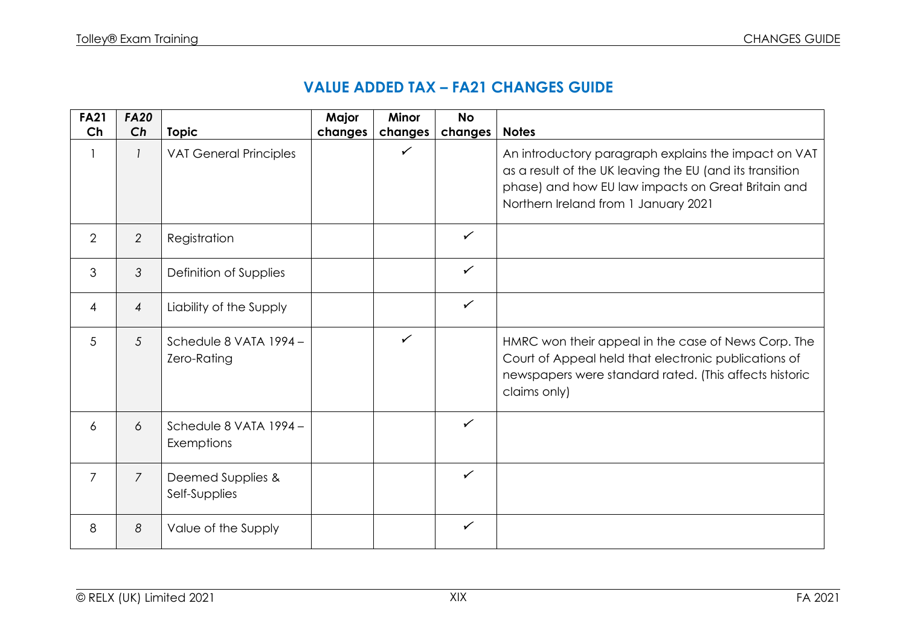## **VALUE ADDED TAX – FA21 CHANGES GUIDE**

| <b>FA21</b>    | <b>FA20</b>    |                                      | Major   | <b>Minor</b> | <b>No</b>    |                                                                                                                                                                                                                |
|----------------|----------------|--------------------------------------|---------|--------------|--------------|----------------------------------------------------------------------------------------------------------------------------------------------------------------------------------------------------------------|
| Ch             | Ch             | <b>Topic</b>                         | changes | changes      | changes      | <b>Notes</b>                                                                                                                                                                                                   |
| 1              | $\mathcal{I}$  | <b>VAT General Principles</b>        |         | $\checkmark$ |              | An introductory paragraph explains the impact on VAT<br>as a result of the UK leaving the EU (and its transition<br>phase) and how EU law impacts on Great Britain and<br>Northern Ireland from 1 January 2021 |
| $\overline{2}$ | $\overline{2}$ | Registration                         |         |              | $\checkmark$ |                                                                                                                                                                                                                |
| 3              | 3              | Definition of Supplies               |         |              | $\checkmark$ |                                                                                                                                                                                                                |
| $\overline{4}$ | $\overline{4}$ | Liability of the Supply              |         |              | $\checkmark$ |                                                                                                                                                                                                                |
| 5              | 5              | Schedule 8 VATA 1994-<br>Zero-Rating |         | $\checkmark$ |              | HMRC won their appeal in the case of News Corp. The<br>Court of Appeal held that electronic publications of<br>newspapers were standard rated. (This affects historic<br>claims only)                          |
| 6              | 6              | Schedule 8 VATA 1994 -<br>Exemptions |         |              | $\checkmark$ |                                                                                                                                                                                                                |
| $\overline{7}$ | $\overline{7}$ | Deemed Supplies &<br>Self-Supplies   |         |              | $\checkmark$ |                                                                                                                                                                                                                |
| 8              | 8              | Value of the Supply                  |         |              | $\checkmark$ |                                                                                                                                                                                                                |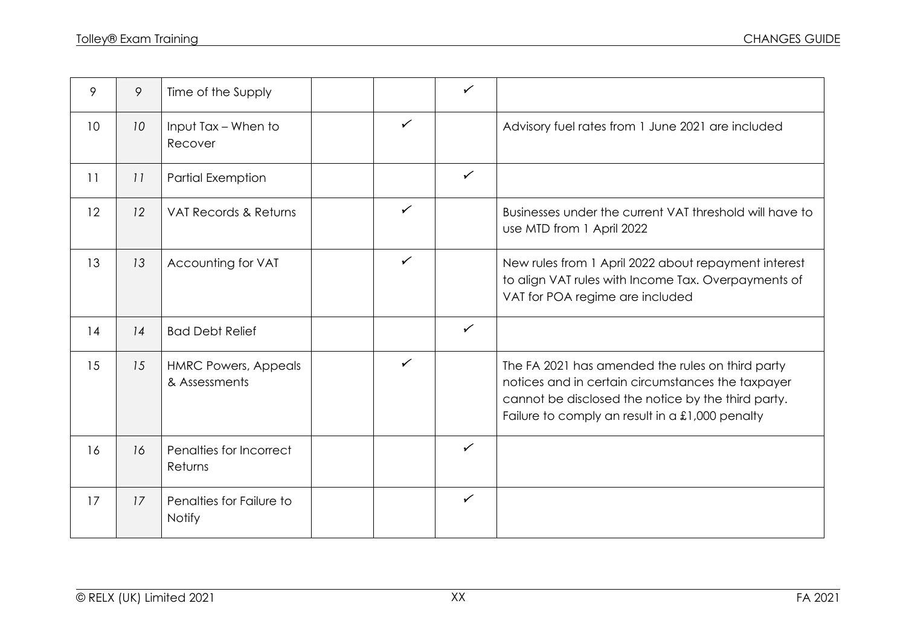| 9  | 9               | Time of the Supply                           |              | $\checkmark$ |                                                                                                                                                                                                                |
|----|-----------------|----------------------------------------------|--------------|--------------|----------------------------------------------------------------------------------------------------------------------------------------------------------------------------------------------------------------|
| 10 | 10 <sup>°</sup> | Input Tax - When to<br>Recover               | $\checkmark$ |              | Advisory fuel rates from 1 June 2021 are included                                                                                                                                                              |
| 11 | 11              | <b>Partial Exemption</b>                     |              | $\checkmark$ |                                                                                                                                                                                                                |
| 12 | 12              | VAT Records & Returns                        | $\checkmark$ |              | Businesses under the current VAT threshold will have to<br>use MTD from 1 April 2022                                                                                                                           |
| 13 | 13              | Accounting for VAT                           | $\checkmark$ |              | New rules from 1 April 2022 about repayment interest<br>to align VAT rules with Income Tax. Overpayments of<br>VAT for POA regime are included                                                                 |
| 14 | 14              | <b>Bad Debt Relief</b>                       |              | $\checkmark$ |                                                                                                                                                                                                                |
| 15 | 15              | <b>HMRC Powers, Appeals</b><br>& Assessments | $\checkmark$ |              | The FA 2021 has amended the rules on third party<br>notices and in certain circumstances the taxpayer<br>cannot be disclosed the notice by the third party.<br>Failure to comply an result in a £1,000 penalty |
| 16 | 16              | Penalties for Incorrect<br>Returns           |              | $\checkmark$ |                                                                                                                                                                                                                |
| 17 | 17              | Penalties for Failure to<br><b>Notify</b>    |              | $\checkmark$ |                                                                                                                                                                                                                |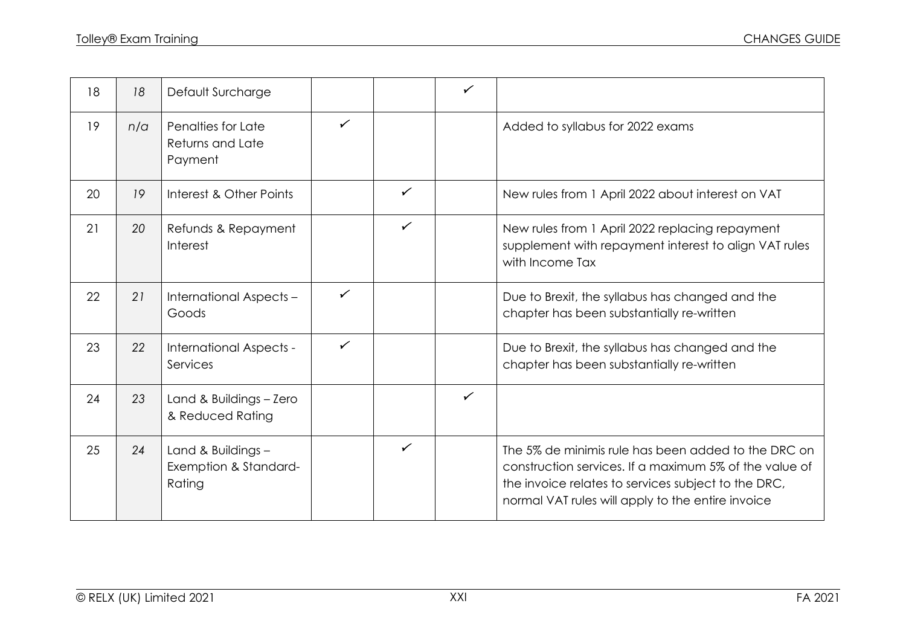| 18 | 18  | Default Surcharge                                     |              |              | $\checkmark$ |                                                                                                                                                                                                                           |
|----|-----|-------------------------------------------------------|--------------|--------------|--------------|---------------------------------------------------------------------------------------------------------------------------------------------------------------------------------------------------------------------------|
| 19 | n/a | Penalties for Late<br>Returns and Late<br>Payment     | $\checkmark$ |              |              | Added to syllabus for 2022 exams                                                                                                                                                                                          |
| 20 | 19  | Interest & Other Points                               |              | $\checkmark$ |              | New rules from 1 April 2022 about interest on VAT                                                                                                                                                                         |
| 21 | 20  | Refunds & Repayment<br>Interest                       |              | $\checkmark$ |              | New rules from 1 April 2022 replacing repayment<br>supplement with repayment interest to align VAT rules<br>with Income Tax                                                                                               |
| 22 | 21  | International Aspects -<br>Goods                      | $\checkmark$ |              |              | Due to Brexit, the syllabus has changed and the<br>chapter has been substantially re-written                                                                                                                              |
| 23 | 22  | International Aspects -<br>Services                   | ✓            |              |              | Due to Brexit, the syllabus has changed and the<br>chapter has been substantially re-written                                                                                                                              |
| 24 | 23  | Land & Buildings - Zero<br>& Reduced Rating           |              |              | $\checkmark$ |                                                                                                                                                                                                                           |
| 25 | 24  | Land & Buildings -<br>Exemption & Standard-<br>Rating |              | $\checkmark$ |              | The 5% de minimis rule has been added to the DRC on<br>construction services. If a maximum 5% of the value of<br>the invoice relates to services subject to the DRC,<br>normal VAT rules will apply to the entire invoice |